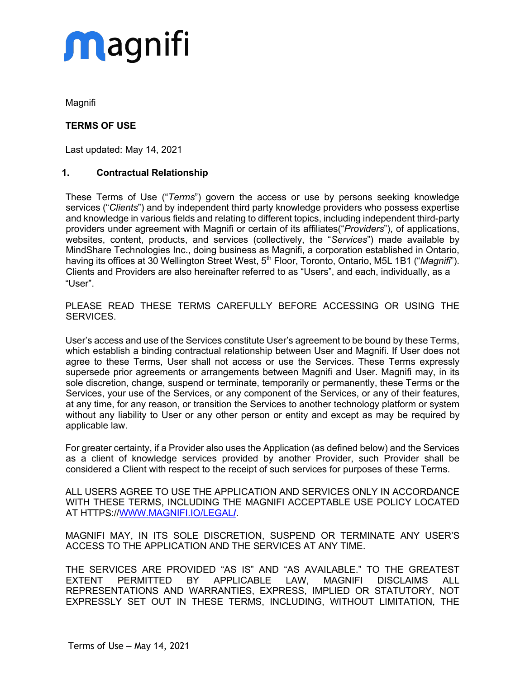Magnifi

### **TERMS OF USE**

Last updated: May 14, 2021

### **1. Contractual Relationship**

These Terms of Use ("*Terms*") govern the access or use by persons seeking knowledge services ("*Clients*") and by independent third party knowledge providers who possess expertise and knowledge in various fields and relating to different topics, including independent third-party providers under agreement with Magnifi or certain of its affiliates("*Providers*"), of applications, websites, content, products, and services (collectively, the "*Services*") made available by MindShare Technologies Inc., doing business as Magnifi, a corporation established in Ontario, having its offices at 30 Wellington Street West, 5<sup>th</sup> Floor, Toronto, Ontario, M5L 1B1 ("Magnifi"). Clients and Providers are also hereinafter referred to as "Users", and each, individually, as a "User".

PLEASE READ THESE TERMS CAREFULLY BEFORE ACCESSING OR USING THE SERVICES.

User's access and use of the Services constitute User's agreement to be bound by these Terms, which establish a binding contractual relationship between User and Magnifi. If User does not agree to these Terms, User shall not access or use the Services. These Terms expressly supersede prior agreements or arrangements between Magnifi and User. Magnifi may, in its sole discretion, change, suspend or terminate, temporarily or permanently, these Terms or the Services, your use of the Services, or any component of the Services, or any of their features, at any time, for any reason, or transition the Services to another technology platform or system without any liability to User or any other person or entity and except as may be required by applicable law.

For greater certainty, if a Provider also uses the Application (as defined below) and the Services as a client of knowledge services provided by another Provider, such Provider shall be considered a Client with respect to the receipt of such services for purposes of these Terms.

ALL USERS AGREE TO USE THE APPLICATION AND SERVICES ONLY IN ACCORDANCE WITH THESE TERMS, INCLUDING THE MAGNIFI ACCEPTABLE USE POLICY LOCATED AT HTTPS://WWW.MAGNIFI.IO/LEGAL**/**.

MAGNIFI MAY, IN ITS SOLE DISCRETION, SUSPEND OR TERMINATE ANY USER'S ACCESS TO THE APPLICATION AND THE SERVICES AT ANY TIME.

THE SERVICES ARE PROVIDED "AS IS" AND "AS AVAILABLE." TO THE GREATEST EXTENT PERMITTED BY APPLICABLE LAW, MAGNIFI DISCLAIMS ALL REPRESENTATIONS AND WARRANTIES, EXPRESS, IMPLIED OR STATUTORY, NOT EXPRESSLY SET OUT IN THESE TERMS, INCLUDING, WITHOUT LIMITATION, THE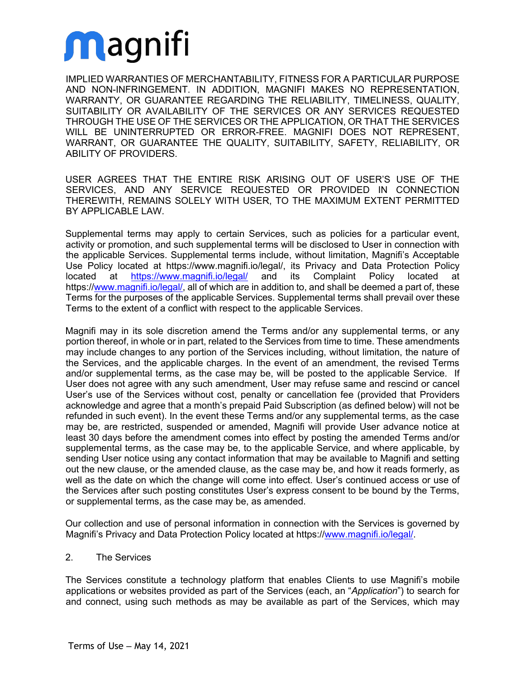IMPLIED WARRANTIES OF MERCHANTABILITY, FITNESS FOR A PARTICULAR PURPOSE AND NON-INFRINGEMENT. IN ADDITION, MAGNIFI MAKES NO REPRESENTATION, WARRANTY, OR GUARANTEE REGARDING THE RELIABILITY, TIMELINESS, QUALITY, SUITABILITY OR AVAILABILITY OF THE SERVICES OR ANY SERVICES REQUESTED THROUGH THE USE OF THE SERVICES OR THE APPLICATION, OR THAT THE SERVICES WILL BE UNINTERRUPTED OR ERROR-FREE. MAGNIFI DOES NOT REPRESENT, WARRANT, OR GUARANTEE THE QUALITY, SUITABILITY, SAFETY, RELIABILITY, OR ABILITY OF PROVIDERS.

USER AGREES THAT THE ENTIRE RISK ARISING OUT OF USER'S USE OF THE SERVICES, AND ANY SERVICE REQUESTED OR PROVIDED IN CONNECTION THEREWITH, REMAINS SOLELY WITH USER, TO THE MAXIMUM EXTENT PERMITTED BY APPLICABLE LAW.

Supplemental terms may apply to certain Services, such as policies for a particular event, activity or promotion, and such supplemental terms will be disclosed to User in connection with the applicable Services. Supplemental terms include, without limitation, Magnifi's Acceptable Use Policy located at https://www.magnifi.io/legal/, its Privacy and Data Protection Policy located at https://www.magnifi.io/legal/ and its Complaint Policy located at https://www.magnifi.io/legal/, all of which are in addition to, and shall be deemed a part of, these Terms for the purposes of the applicable Services. Supplemental terms shall prevail over these Terms to the extent of a conflict with respect to the applicable Services.

Magnifi may in its sole discretion amend the Terms and/or any supplemental terms, or any portion thereof, in whole or in part, related to the Services from time to time. These amendments may include changes to any portion of the Services including, without limitation, the nature of the Services, and the applicable charges. In the event of an amendment, the revised Terms and/or supplemental terms, as the case may be, will be posted to the applicable Service. If User does not agree with any such amendment, User may refuse same and rescind or cancel User's use of the Services without cost, penalty or cancellation fee (provided that Providers acknowledge and agree that a month's prepaid Paid Subscription (as defined below) will not be refunded in such event). In the event these Terms and/or any supplemental terms, as the case may be, are restricted, suspended or amended, Magnifi will provide User advance notice at least 30 days before the amendment comes into effect by posting the amended Terms and/or supplemental terms, as the case may be, to the applicable Service, and where applicable, by sending User notice using any contact information that may be available to Magnifi and setting out the new clause, or the amended clause, as the case may be, and how it reads formerly, as well as the date on which the change will come into effect. User's continued access or use of the Services after such posting constitutes User's express consent to be bound by the Terms, or supplemental terms, as the case may be, as amended.

Our collection and use of personal information in connection with the Services is governed by Magnifi's Privacy and Data Protection Policy located at https://www.magnifi.io/legal/.

### 2. The Services

The Services constitute a technology platform that enables Clients to use Magnifi's mobile applications or websites provided as part of the Services (each, an "*Application*") to search for and connect, using such methods as may be available as part of the Services, which may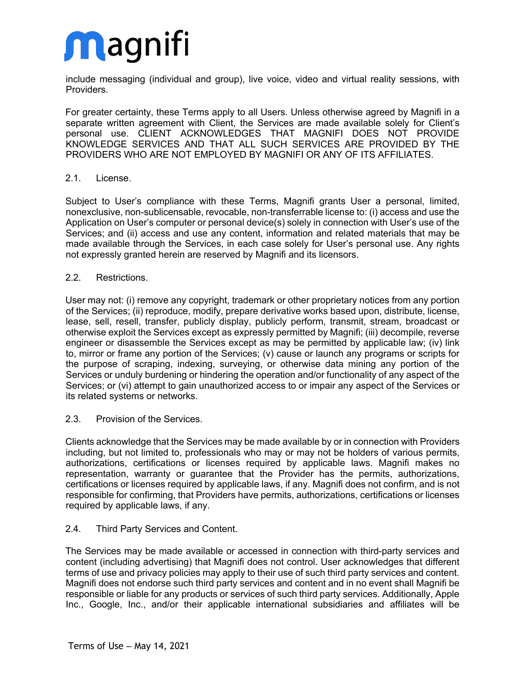include messaging (individual and group), live voice, video and virtual reality sessions, with Providers.

For greater certainty, these Terms apply to all Users. Unless otherwise agreed by Magnifi in a separate written agreement with Client, the Services are made available solely for Client's personal use. CLIENT ACKNOWLEDGES THAT MAGNIFI DOES NOT PROVIDE KNOWLEDGE SERVICES AND THAT ALL SUCH SERVICES ARE PROVIDED BY THE PROVIDERS WHO ARE NOT EMPLOYED BY MAGNIFI OR ANY OF ITS AFFILIATES.

#### 2.1. License.

Subject to User's compliance with these Terms, Magnifi grants User a personal, limited, nonexclusive, non-sublicensable, revocable, non-transferrable license to: (i) access and use the Application on User's computer or personal device(s) solely in connection with User's use of the Services; and (ii) access and use any content, information and related materials that may be made available through the Services, in each case solely for User's personal use. Any rights not expressly granted herein are reserved by Magnifi and its licensors.

#### 2.2. Restrictions.

User may not: (i) remove any copyright, trademark or other proprietary notices from any portion of the Services; (ii) reproduce, modify, prepare derivative works based upon, distribute, license, lease, sell, resell, transfer, publicly display, publicly perform, transmit, stream, broadcast or otherwise exploit the Services except as expressly permitted by Magnifi; (iii) decompile, reverse engineer or disassemble the Services except as may be permitted by applicable law; (iv) link to, mirror or frame any portion of the Services; (v) cause or launch any programs or scripts for the purpose of scraping, indexing, surveying, or otherwise data mining any portion of the Services or unduly burdening or hindering the operation and/or functionality of any aspect of the Services; or (vi) attempt to gain unauthorized access to or impair any aspect of the Services or its related systems or networks.

#### 2.3. Provision of the Services.

Clients acknowledge that the Services may be made available by or in connection with Providers including, but not limited to, professionals who may or may not be holders of various permits, authorizations, certifications or licenses required by applicable laws. Magnifi makes no representation, warranty or guarantee that the Provider has the permits, authorizations, certifications or licenses required by applicable laws, if any. Magnifi does not confirm, and is not responsible for confirming, that Providers have permits, authorizations, certifications or licenses required by applicable laws, if any.

### 2.4. Third Party Services and Content.

The Services may be made available or accessed in connection with third-party services and content (including advertising) that Magnifi does not control. User acknowledges that different terms of use and privacy policies may apply to their use of such third party services and content. Magnifi does not endorse such third party services and content and in no event shall Magnifi be responsible or liable for any products or services of such third party services. Additionally, Apple Inc., Google, Inc., and/or their applicable international subsidiaries and affiliates will be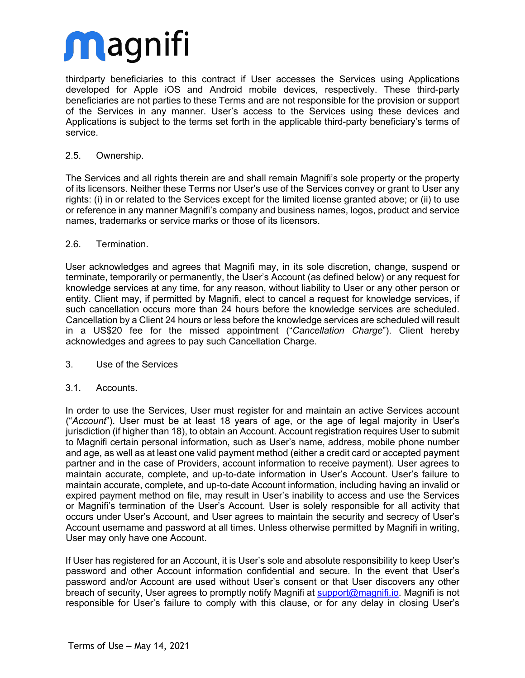thirdparty beneficiaries to this contract if User accesses the Services using Applications developed for Apple iOS and Android mobile devices, respectively. These third-party beneficiaries are not parties to these Terms and are not responsible for the provision or support of the Services in any manner. User's access to the Services using these devices and Applications is subject to the terms set forth in the applicable third-party beneficiary's terms of service.

### 2.5. Ownership.

The Services and all rights therein are and shall remain Magnifi's sole property or the property of its licensors. Neither these Terms nor User's use of the Services convey or grant to User any rights: (i) in or related to the Services except for the limited license granted above; or (ii) to use or reference in any manner Magnifi's company and business names, logos, product and service names, trademarks or service marks or those of its licensors.

### 2.6. Termination.

User acknowledges and agrees that Magnifi may, in its sole discretion, change, suspend or terminate, temporarily or permanently, the User's Account (as defined below) or any request for knowledge services at any time, for any reason, without liability to User or any other person or entity. Client may, if permitted by Magnifi, elect to cancel a request for knowledge services, if such cancellation occurs more than 24 hours before the knowledge services are scheduled. Cancellation by a Client 24 hours or less before the knowledge services are scheduled will result in a US\$20 fee for the missed appointment ("*Cancellation Charge*"). Client hereby acknowledges and agrees to pay such Cancellation Charge.

### 3. Use of the Services

### 3.1. Accounts.

In order to use the Services, User must register for and maintain an active Services account ("*Account*"). User must be at least 18 years of age, or the age of legal majority in User's jurisdiction (if higher than 18), to obtain an Account. Account registration requires User to submit to Magnifi certain personal information, such as User's name, address, mobile phone number and age, as well as at least one valid payment method (either a credit card or accepted payment partner and in the case of Providers, account information to receive payment). User agrees to maintain accurate, complete, and up-to-date information in User's Account. User's failure to maintain accurate, complete, and up-to-date Account information, including having an invalid or expired payment method on file, may result in User's inability to access and use the Services or Magnifi's termination of the User's Account. User is solely responsible for all activity that occurs under User's Account, and User agrees to maintain the security and secrecy of User's Account username and password at all times. Unless otherwise permitted by Magnifi in writing, User may only have one Account.

If User has registered for an Account, it is User's sole and absolute responsibility to keep User's password and other Account information confidential and secure. In the event that User's password and/or Account are used without User's consent or that User discovers any other breach of security, User agrees to promptly notify Magnifi at support@magnifi.io. Magnifi is not responsible for User's failure to comply with this clause, or for any delay in closing User's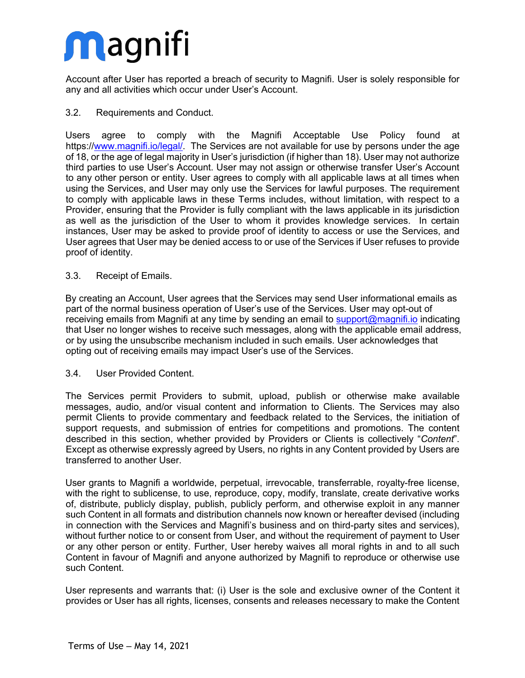Account after User has reported a breach of security to Magnifi. User is solely responsible for any and all activities which occur under User's Account.

### 3.2. Requirements and Conduct.

Users agree to comply with the Magnifi Acceptable Use Policy found at https://www.magnifi.io/legal/. The Services are not available for use by persons under the age of 18, or the age of legal majority in User's jurisdiction (if higher than 18). User may not authorize third parties to use User's Account. User may not assign or otherwise transfer User's Account to any other person or entity. User agrees to comply with all applicable laws at all times when using the Services, and User may only use the Services for lawful purposes. The requirement to comply with applicable laws in these Terms includes, without limitation, with respect to a Provider, ensuring that the Provider is fully compliant with the laws applicable in its jurisdiction as well as the jurisdiction of the User to whom it provides knowledge services. In certain instances, User may be asked to provide proof of identity to access or use the Services, and User agrees that User may be denied access to or use of the Services if User refuses to provide proof of identity.

#### 3.3. Receipt of Emails.

By creating an Account, User agrees that the Services may send User informational emails as part of the normal business operation of User's use of the Services. User may opt-out of receiving emails from Magnifi at any time by sending an email to support@magnifi.io indicating that User no longer wishes to receive such messages, along with the applicable email address, or by using the unsubscribe mechanism included in such emails. User acknowledges that opting out of receiving emails may impact User's use of the Services.

#### 3.4. User Provided Content.

The Services permit Providers to submit, upload, publish or otherwise make available messages, audio, and/or visual content and information to Clients. The Services may also permit Clients to provide commentary and feedback related to the Services, the initiation of support requests, and submission of entries for competitions and promotions. The content described in this section, whether provided by Providers or Clients is collectively "*Content*". Except as otherwise expressly agreed by Users, no rights in any Content provided by Users are transferred to another User.

User grants to Magnifi a worldwide, perpetual, irrevocable, transferrable, royalty-free license, with the right to sublicense, to use, reproduce, copy, modify, translate, create derivative works of, distribute, publicly display, publish, publicly perform, and otherwise exploit in any manner such Content in all formats and distribution channels now known or hereafter devised (including in connection with the Services and Magnifi's business and on third-party sites and services), without further notice to or consent from User, and without the requirement of payment to User or any other person or entity. Further, User hereby waives all moral rights in and to all such Content in favour of Magnifi and anyone authorized by Magnifi to reproduce or otherwise use such Content.

User represents and warrants that: (i) User is the sole and exclusive owner of the Content it provides or User has all rights, licenses, consents and releases necessary to make the Content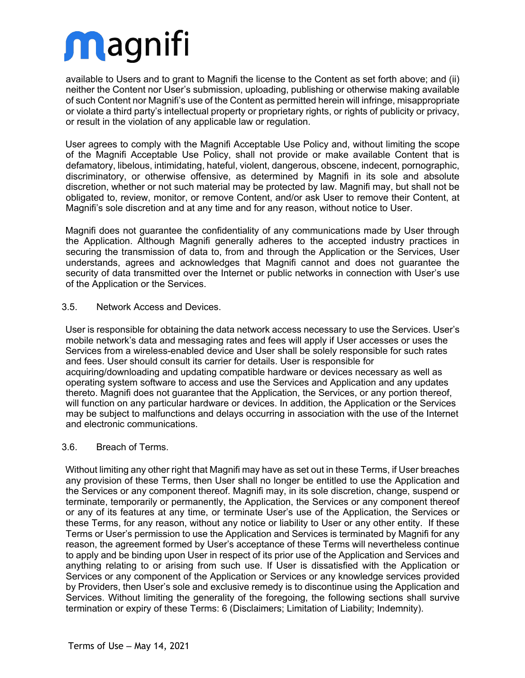available to Users and to grant to Magnifi the license to the Content as set forth above; and (ii) neither the Content nor User's submission, uploading, publishing or otherwise making available of such Content nor Magnifi's use of the Content as permitted herein will infringe, misappropriate or violate a third party's intellectual property or proprietary rights, or rights of publicity or privacy, or result in the violation of any applicable law or regulation.

User agrees to comply with the Magnifi Acceptable Use Policy and, without limiting the scope of the Magnifi Acceptable Use Policy, shall not provide or make available Content that is defamatory, libelous, intimidating, hateful, violent, dangerous, obscene, indecent, pornographic, discriminatory, or otherwise offensive, as determined by Magnifi in its sole and absolute discretion, whether or not such material may be protected by law. Magnifi may, but shall not be obligated to, review, monitor, or remove Content, and/or ask User to remove their Content, at Magnifi's sole discretion and at any time and for any reason, without notice to User.

Magnifi does not guarantee the confidentiality of any communications made by User through the Application. Although Magnifi generally adheres to the accepted industry practices in securing the transmission of data to, from and through the Application or the Services, User understands, agrees and acknowledges that Magnifi cannot and does not guarantee the security of data transmitted over the Internet or public networks in connection with User's use of the Application or the Services.

#### 3.5. Network Access and Devices.

User is responsible for obtaining the data network access necessary to use the Services. User's mobile network's data and messaging rates and fees will apply if User accesses or uses the Services from a wireless-enabled device and User shall be solely responsible for such rates and fees. User should consult its carrier for details. User is responsible for acquiring/downloading and updating compatible hardware or devices necessary as well as operating system software to access and use the Services and Application and any updates thereto. Magnifi does not guarantee that the Application, the Services, or any portion thereof, will function on any particular hardware or devices. In addition, the Application or the Services may be subject to malfunctions and delays occurring in association with the use of the Internet and electronic communications.

### 3.6. Breach of Terms.

Without limiting any other right that Magnifi may have as set out in these Terms, if User breaches any provision of these Terms, then User shall no longer be entitled to use the Application and the Services or any component thereof. Magnifi may, in its sole discretion, change, suspend or terminate, temporarily or permanently, the Application, the Services or any component thereof or any of its features at any time, or terminate User's use of the Application, the Services or these Terms, for any reason, without any notice or liability to User or any other entity. If these Terms or User's permission to use the Application and Services is terminated by Magnifi for any reason, the agreement formed by User's acceptance of these Terms will nevertheless continue to apply and be binding upon User in respect of its prior use of the Application and Services and anything relating to or arising from such use. If User is dissatisfied with the Application or Services or any component of the Application or Services or any knowledge services provided by Providers, then User's sole and exclusive remedy is to discontinue using the Application and Services. Without limiting the generality of the foregoing, the following sections shall survive termination or expiry of these Terms: 6 (Disclaimers; Limitation of Liability; Indemnity).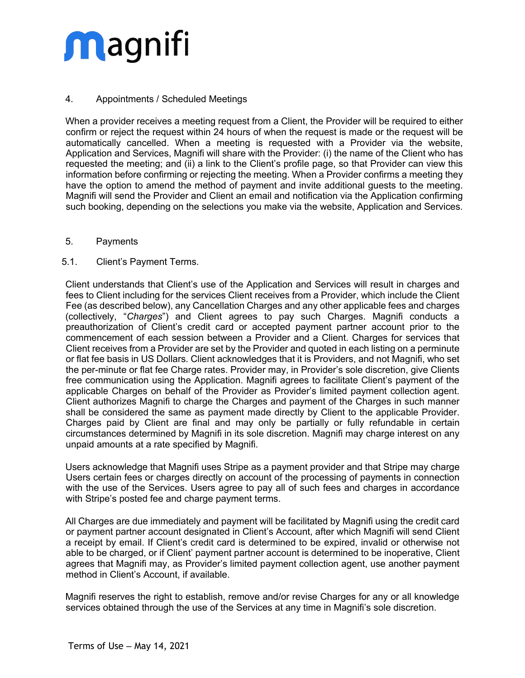### 4. Appointments / Scheduled Meetings

When a provider receives a meeting request from a Client, the Provider will be required to either confirm or reject the request within 24 hours of when the request is made or the request will be automatically cancelled. When a meeting is requested with a Provider via the website, Application and Services, Magnifi will share with the Provider: (i) the name of the Client who has requested the meeting; and (ii) a link to the Client's profile page, so that Provider can view this information before confirming or rejecting the meeting. When a Provider confirms a meeting they have the option to amend the method of payment and invite additional guests to the meeting. Magnifi will send the Provider and Client an email and notification via the Application confirming such booking, depending on the selections you make via the website, Application and Services.

#### 5. Payments

#### 5.1. Client's Payment Terms.

Client understands that Client's use of the Application and Services will result in charges and fees to Client including for the services Client receives from a Provider, which include the Client Fee (as described below), any Cancellation Charges and any other applicable fees and charges (collectively, "*Charges*") and Client agrees to pay such Charges. Magnifi conducts a preauthorization of Client's credit card or accepted payment partner account prior to the commencement of each session between a Provider and a Client. Charges for services that Client receives from a Provider are set by the Provider and quoted in each listing on a perminute or flat fee basis in US Dollars. Client acknowledges that it is Providers, and not Magnifi, who set the per-minute or flat fee Charge rates. Provider may, in Provider's sole discretion, give Clients free communication using the Application. Magnifi agrees to facilitate Client's payment of the applicable Charges on behalf of the Provider as Provider's limited payment collection agent. Client authorizes Magnifi to charge the Charges and payment of the Charges in such manner shall be considered the same as payment made directly by Client to the applicable Provider. Charges paid by Client are final and may only be partially or fully refundable in certain circumstances determined by Magnifi in its sole discretion. Magnifi may charge interest on any unpaid amounts at a rate specified by Magnifi.

Users acknowledge that Magnifi uses Stripe as a payment provider and that Stripe may charge Users certain fees or charges directly on account of the processing of payments in connection with the use of the Services. Users agree to pay all of such fees and charges in accordance with Stripe's posted fee and charge payment terms.

All Charges are due immediately and payment will be facilitated by Magnifi using the credit card or payment partner account designated in Client's Account, after which Magnifi will send Client a receipt by email. If Client's credit card is determined to be expired, invalid or otherwise not able to be charged, or if Client' payment partner account is determined to be inoperative, Client agrees that Magnifi may, as Provider's limited payment collection agent, use another payment method in Client's Account, if available.

Magnifi reserves the right to establish, remove and/or revise Charges for any or all knowledge services obtained through the use of the Services at any time in Magnifi's sole discretion.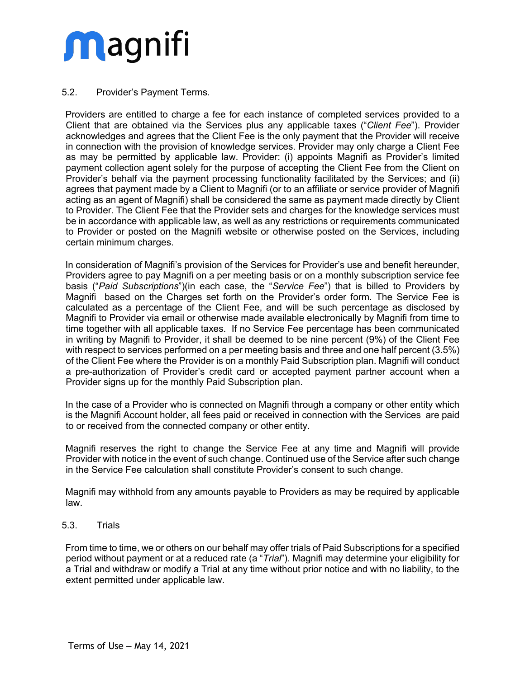### 5.2. Provider's Payment Terms.

Providers are entitled to charge a fee for each instance of completed services provided to a Client that are obtained via the Services plus any applicable taxes ("*Client Fee*"). Provider acknowledges and agrees that the Client Fee is the only payment that the Provider will receive in connection with the provision of knowledge services. Provider may only charge a Client Fee as may be permitted by applicable law. Provider: (i) appoints Magnifi as Provider's limited payment collection agent solely for the purpose of accepting the Client Fee from the Client on Provider's behalf via the payment processing functionality facilitated by the Services; and (ii) agrees that payment made by a Client to Magnifi (or to an affiliate or service provider of Magnifi acting as an agent of Magnifi) shall be considered the same as payment made directly by Client to Provider. The Client Fee that the Provider sets and charges for the knowledge services must be in accordance with applicable law, as well as any restrictions or requirements communicated to Provider or posted on the Magnifi website or otherwise posted on the Services, including certain minimum charges.

In consideration of Magnifi's provision of the Services for Provider's use and benefit hereunder, Providers agree to pay Magnifi on a per meeting basis or on a monthly subscription service fee basis ("*Paid Subscriptions*")(in each case, the "*Service Fee*") that is billed to Providers by Magnifi based on the Charges set forth on the Provider's order form. The Service Fee is calculated as a percentage of the Client Fee, and will be such percentage as disclosed by Magnifi to Provider via email or otherwise made available electronically by Magnifi from time to time together with all applicable taxes. If no Service Fee percentage has been communicated in writing by Magnifi to Provider, it shall be deemed to be nine percent (9%) of the Client Fee with respect to services performed on a per meeting basis and three and one half percent (3.5%) of the Client Fee where the Provider is on a monthly Paid Subscription plan. Magnifi will conduct a pre-authorization of Provider's credit card or accepted payment partner account when a Provider signs up for the monthly Paid Subscription plan.

In the case of a Provider who is connected on Magnifi through a company or other entity which is the Magnifi Account holder, all fees paid or received in connection with the Services are paid to or received from the connected company or other entity.

Magnifi reserves the right to change the Service Fee at any time and Magnifi will provide Provider with notice in the event of such change. Continued use of the Service after such change in the Service Fee calculation shall constitute Provider's consent to such change.

Magnifi may withhold from any amounts payable to Providers as may be required by applicable law.

### 5.3. Trials

From time to time, we or others on our behalf may offer trials of Paid Subscriptions for a specified period without payment or at a reduced rate (a "*Trial*"). Magnifi may determine your eligibility for a Trial and withdraw or modify a Trial at any time without prior notice and with no liability, to the extent permitted under applicable law.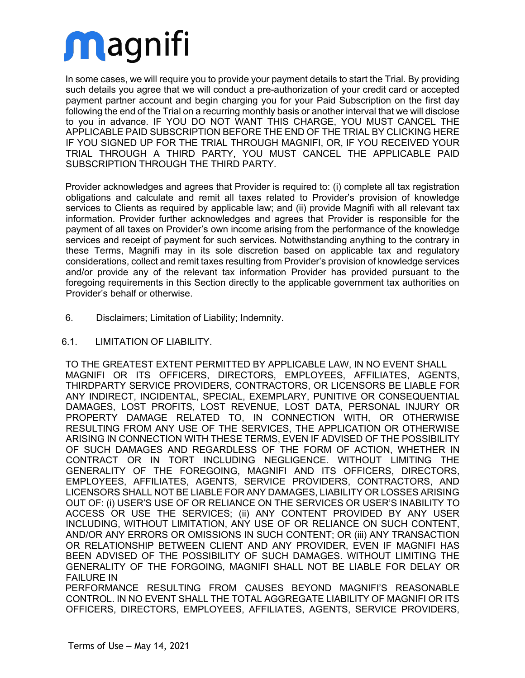In some cases, we will require you to provide your payment details to start the Trial. By providing such details you agree that we will conduct a pre-authorization of your credit card or accepted payment partner account and begin charging you for your Paid Subscription on the first day following the end of the Trial on a recurring monthly basis or another interval that we will disclose to you in advance. IF YOU DO NOT WANT THIS CHARGE, YOU MUST CANCEL THE APPLICABLE PAID SUBSCRIPTION BEFORE THE END OF THE TRIAL BY CLICKING HERE IF YOU SIGNED UP FOR THE TRIAL THROUGH MAGNIFI, OR, IF YOU RECEIVED YOUR TRIAL THROUGH A THIRD PARTY, YOU MUST CANCEL THE APPLICABLE PAID SUBSCRIPTION THROUGH THE THIRD PARTY.

Provider acknowledges and agrees that Provider is required to: (i) complete all tax registration obligations and calculate and remit all taxes related to Provider's provision of knowledge services to Clients as required by applicable law; and (ii) provide Magnifi with all relevant tax information. Provider further acknowledges and agrees that Provider is responsible for the payment of all taxes on Provider's own income arising from the performance of the knowledge services and receipt of payment for such services. Notwithstanding anything to the contrary in these Terms, Magnifi may in its sole discretion based on applicable tax and regulatory considerations, collect and remit taxes resulting from Provider's provision of knowledge services and/or provide any of the relevant tax information Provider has provided pursuant to the foregoing requirements in this Section directly to the applicable government tax authorities on Provider's behalf or otherwise.

- 6. Disclaimers; Limitation of Liability; Indemnity.
- 6.1. LIMITATION OF LIABILITY.

TO THE GREATEST EXTENT PERMITTED BY APPLICABLE LAW, IN NO EVENT SHALL MAGNIFI OR ITS OFFICERS, DIRECTORS, EMPLOYEES, AFFILIATES, AGENTS, THIRDPARTY SERVICE PROVIDERS, CONTRACTORS, OR LICENSORS BE LIABLE FOR ANY INDIRECT, INCIDENTAL, SPECIAL, EXEMPLARY, PUNITIVE OR CONSEQUENTIAL DAMAGES, LOST PROFITS, LOST REVENUE, LOST DATA, PERSONAL INJURY OR PROPERTY DAMAGE RELATED TO, IN CONNECTION WITH, OR OTHERWISE RESULTING FROM ANY USE OF THE SERVICES, THE APPLICATION OR OTHERWISE ARISING IN CONNECTION WITH THESE TERMS, EVEN IF ADVISED OF THE POSSIBILITY OF SUCH DAMAGES AND REGARDLESS OF THE FORM OF ACTION, WHETHER IN CONTRACT OR IN TORT INCLUDING NEGLIGENCE. WITHOUT LIMITING THE GENERALITY OF THE FOREGOING, MAGNIFI AND ITS OFFICERS, DIRECTORS, EMPLOYEES, AFFILIATES, AGENTS, SERVICE PROVIDERS, CONTRACTORS, AND LICENSORS SHALL NOT BE LIABLE FOR ANY DAMAGES, LIABILITY OR LOSSES ARISING OUT OF: (i) USER'S USE OF OR RELIANCE ON THE SERVICES OR USER'S INABILITY TO ACCESS OR USE THE SERVICES; (ii) ANY CONTENT PROVIDED BY ANY USER INCLUDING, WITHOUT LIMITATION, ANY USE OF OR RELIANCE ON SUCH CONTENT, AND/OR ANY ERRORS OR OMISSIONS IN SUCH CONTENT; OR (iii) ANY TRANSACTION OR RELATIONSHIP BETWEEN CLIENT AND ANY PROVIDER, EVEN IF MAGNIFI HAS BEEN ADVISED OF THE POSSIBILITY OF SUCH DAMAGES. WITHOUT LIMITING THE GENERALITY OF THE FORGOING, MAGNIFI SHALL NOT BE LIABLE FOR DELAY OR FAILURE IN

PERFORMANCE RESULTING FROM CAUSES BEYOND MAGNIFI'S REASONABLE CONTROL. IN NO EVENT SHALL THE TOTAL AGGREGATE LIABILITY OF MAGNIFI OR ITS OFFICERS, DIRECTORS, EMPLOYEES, AFFILIATES, AGENTS, SERVICE PROVIDERS,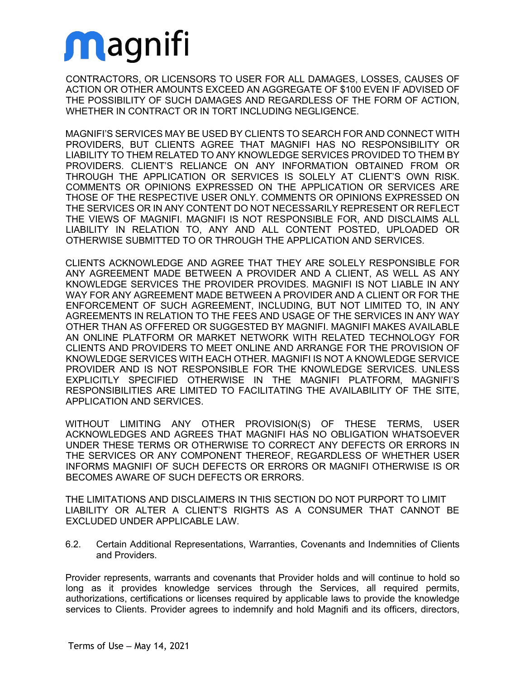CONTRACTORS, OR LICENSORS TO USER FOR ALL DAMAGES, LOSSES, CAUSES OF ACTION OR OTHER AMOUNTS EXCEED AN AGGREGATE OF \$100 EVEN IF ADVISED OF THE POSSIBILITY OF SUCH DAMAGES AND REGARDLESS OF THE FORM OF ACTION, WHETHER IN CONTRACT OR IN TORT INCLUDING NEGLIGENCE.

MAGNIFI'S SERVICES MAY BE USED BY CLIENTS TO SEARCH FOR AND CONNECT WITH PROVIDERS, BUT CLIENTS AGREE THAT MAGNIFI HAS NO RESPONSIBILITY OR LIABILITY TO THEM RELATED TO ANY KNOWLEDGE SERVICES PROVIDED TO THEM BY PROVIDERS. CLIENT'S RELIANCE ON ANY INFORMATION OBTAINED FROM OR THROUGH THE APPLICATION OR SERVICES IS SOLELY AT CLIENT'S OWN RISK. COMMENTS OR OPINIONS EXPRESSED ON THE APPLICATION OR SERVICES ARE THOSE OF THE RESPECTIVE USER ONLY. COMMENTS OR OPINIONS EXPRESSED ON THE SERVICES OR IN ANY CONTENT DO NOT NECESSARILY REPRESENT OR REFLECT THE VIEWS OF MAGNIFI. MAGNIFI IS NOT RESPONSIBLE FOR, AND DISCLAIMS ALL LIABILITY IN RELATION TO, ANY AND ALL CONTENT POSTED, UPLOADED OR OTHERWISE SUBMITTED TO OR THROUGH THE APPLICATION AND SERVICES.

CLIENTS ACKNOWLEDGE AND AGREE THAT THEY ARE SOLELY RESPONSIBLE FOR ANY AGREEMENT MADE BETWEEN A PROVIDER AND A CLIENT, AS WELL AS ANY KNOWLEDGE SERVICES THE PROVIDER PROVIDES. MAGNIFI IS NOT LIABLE IN ANY WAY FOR ANY AGREEMENT MADE BETWEEN A PROVIDER AND A CLIENT OR FOR THE ENFORCEMENT OF SUCH AGREEMENT, INCLUDING, BUT NOT LIMITED TO, IN ANY AGREEMENTS IN RELATION TO THE FEES AND USAGE OF THE SERVICES IN ANY WAY OTHER THAN AS OFFERED OR SUGGESTED BY MAGNIFI. MAGNIFI MAKES AVAILABLE AN ONLINE PLATFORM OR MARKET NETWORK WITH RELATED TECHNOLOGY FOR CLIENTS AND PROVIDERS TO MEET ONLINE AND ARRANGE FOR THE PROVISION OF KNOWLEDGE SERVICES WITH EACH OTHER. MAGNIFI IS NOT A KNOWLEDGE SERVICE PROVIDER AND IS NOT RESPONSIBLE FOR THE KNOWLEDGE SERVICES. UNLESS EXPLICITLY SPECIFIED OTHERWISE IN THE MAGNIFI PLATFORM, MAGNIFI'S RESPONSIBILITIES ARE LIMITED TO FACILITATING THE AVAILABILITY OF THE SITE, APPLICATION AND SERVICES.

WITHOUT LIMITING ANY OTHER PROVISION(S) OF THESE TERMS, USER ACKNOWLEDGES AND AGREES THAT MAGNIFI HAS NO OBLIGATION WHATSOEVER UNDER THESE TERMS OR OTHERWISE TO CORRECT ANY DEFECTS OR ERRORS IN THE SERVICES OR ANY COMPONENT THEREOF, REGARDLESS OF WHETHER USER INFORMS MAGNIFI OF SUCH DEFECTS OR ERRORS OR MAGNIFI OTHERWISE IS OR BECOMES AWARE OF SUCH DEFECTS OR ERRORS.

THE LIMITATIONS AND DISCLAIMERS IN THIS SECTION DO NOT PURPORT TO LIMIT LIABILITY OR ALTER A CLIENT'S RIGHTS AS A CONSUMER THAT CANNOT BE EXCLUDED UNDER APPLICABLE LAW.

6.2. Certain Additional Representations, Warranties, Covenants and Indemnities of Clients and Providers.

Provider represents, warrants and covenants that Provider holds and will continue to hold so long as it provides knowledge services through the Services, all required permits, authorizations, certifications or licenses required by applicable laws to provide the knowledge services to Clients. Provider agrees to indemnify and hold Magnifi and its officers, directors,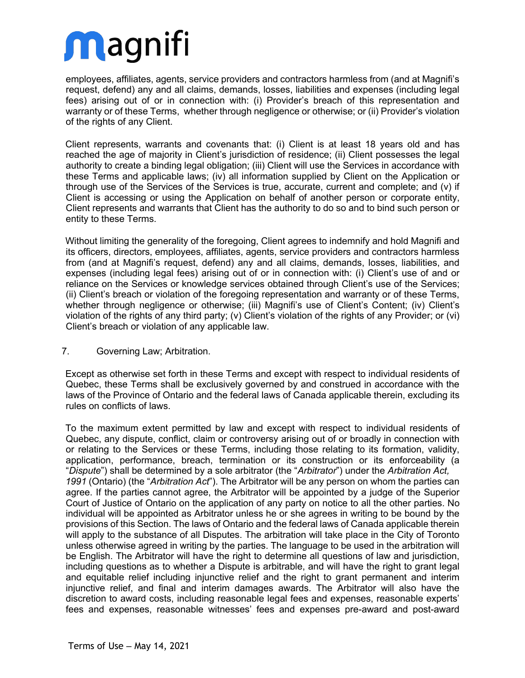employees, affiliates, agents, service providers and contractors harmless from (and at Magnifi's request, defend) any and all claims, demands, losses, liabilities and expenses (including legal fees) arising out of or in connection with: (i) Provider's breach of this representation and warranty or of these Terms, whether through negligence or otherwise; or (ii) Provider's violation of the rights of any Client.

Client represents, warrants and covenants that: (i) Client is at least 18 years old and has reached the age of majority in Client's jurisdiction of residence; (ii) Client possesses the legal authority to create a binding legal obligation; (iii) Client will use the Services in accordance with these Terms and applicable laws; (iv) all information supplied by Client on the Application or through use of the Services of the Services is true, accurate, current and complete; and (v) if Client is accessing or using the Application on behalf of another person or corporate entity, Client represents and warrants that Client has the authority to do so and to bind such person or entity to these Terms.

Without limiting the generality of the foregoing, Client agrees to indemnify and hold Magnifi and its officers, directors, employees, affiliates, agents, service providers and contractors harmless from (and at Magnifi's request, defend) any and all claims, demands, losses, liabilities, and expenses (including legal fees) arising out of or in connection with: (i) Client's use of and or reliance on the Services or knowledge services obtained through Client's use of the Services; (ii) Client's breach or violation of the foregoing representation and warranty or of these Terms, whether through negligence or otherwise; (iii) Magnifi's use of Client's Content; (iv) Client's violation of the rights of any third party; (v) Client's violation of the rights of any Provider; or (vi) Client's breach or violation of any applicable law.

### 7. Governing Law; Arbitration.

Except as otherwise set forth in these Terms and except with respect to individual residents of Quebec, these Terms shall be exclusively governed by and construed in accordance with the laws of the Province of Ontario and the federal laws of Canada applicable therein, excluding its rules on conflicts of laws.

To the maximum extent permitted by law and except with respect to individual residents of Quebec, any dispute, conflict, claim or controversy arising out of or broadly in connection with or relating to the Services or these Terms, including those relating to its formation, validity, application, performance, breach, termination or its construction or its enforceability (a "*Dispute*") shall be determined by a sole arbitrator (the "*Arbitrator*") under the *Arbitration Act, 1991* (Ontario) (the "*Arbitration Act*"). The Arbitrator will be any person on whom the parties can agree. If the parties cannot agree, the Arbitrator will be appointed by a judge of the Superior Court of Justice of Ontario on the application of any party on notice to all the other parties. No individual will be appointed as Arbitrator unless he or she agrees in writing to be bound by the provisions of this Section. The laws of Ontario and the federal laws of Canada applicable therein will apply to the substance of all Disputes. The arbitration will take place in the City of Toronto unless otherwise agreed in writing by the parties. The language to be used in the arbitration will be English. The Arbitrator will have the right to determine all questions of law and jurisdiction, including questions as to whether a Dispute is arbitrable, and will have the right to grant legal and equitable relief including injunctive relief and the right to grant permanent and interim injunctive relief, and final and interim damages awards. The Arbitrator will also have the discretion to award costs, including reasonable legal fees and expenses, reasonable experts' fees and expenses, reasonable witnesses' fees and expenses pre-award and post-award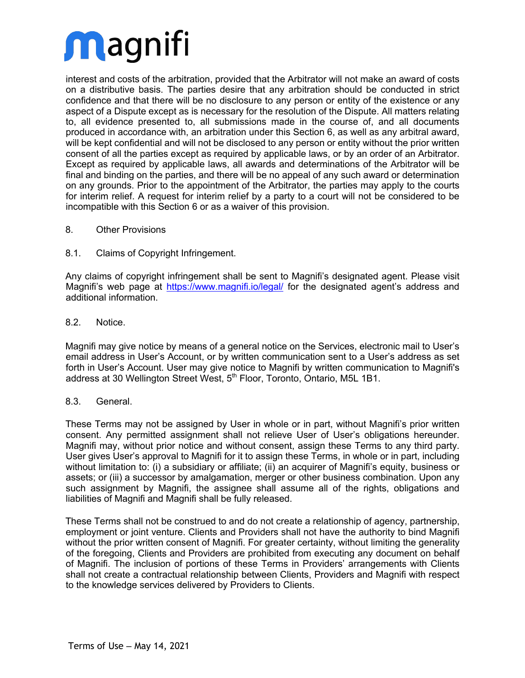interest and costs of the arbitration, provided that the Arbitrator will not make an award of costs on a distributive basis. The parties desire that any arbitration should be conducted in strict confidence and that there will be no disclosure to any person or entity of the existence or any aspect of a Dispute except as is necessary for the resolution of the Dispute. All matters relating to, all evidence presented to, all submissions made in the course of, and all documents produced in accordance with, an arbitration under this Section 6, as well as any arbitral award, will be kept confidential and will not be disclosed to any person or entity without the prior written consent of all the parties except as required by applicable laws, or by an order of an Arbitrator. Except as required by applicable laws, all awards and determinations of the Arbitrator will be final and binding on the parties, and there will be no appeal of any such award or determination on any grounds. Prior to the appointment of the Arbitrator, the parties may apply to the courts for interim relief. A request for interim relief by a party to a court will not be considered to be incompatible with this Section 6 or as a waiver of this provision.

#### 8. Other Provisions

#### 8.1. Claims of Copyright Infringement.

Any claims of copyright infringement shall be sent to Magnifi's designated agent. Please visit Magnifi's web page at https://www.magnifi.io/legal/ for the designated agent's address and additional information.

#### 8.2. Notice.

Magnifi may give notice by means of a general notice on the Services, electronic mail to User's email address in User's Account, or by written communication sent to a User's address as set forth in User's Account. User may give notice to Magnifi by written communication to Magnifi's address at 30 Wellington Street West, 5<sup>th</sup> Floor, Toronto, Ontario, M5L 1B1.

#### 8.3. General.

These Terms may not be assigned by User in whole or in part, without Magnifi's prior written consent. Any permitted assignment shall not relieve User of User's obligations hereunder. Magnifi may, without prior notice and without consent, assign these Terms to any third party. User gives User's approval to Magnifi for it to assign these Terms, in whole or in part, including without limitation to: (i) a subsidiary or affiliate; (ii) an acquirer of Magnifi's equity, business or assets; or (iii) a successor by amalgamation, merger or other business combination. Upon any such assignment by Magnifi, the assignee shall assume all of the rights, obligations and liabilities of Magnifi and Magnifi shall be fully released.

These Terms shall not be construed to and do not create a relationship of agency, partnership, employment or joint venture. Clients and Providers shall not have the authority to bind Magnifi without the prior written consent of Magnifi. For greater certainty, without limiting the generality of the foregoing, Clients and Providers are prohibited from executing any document on behalf of Magnifi. The inclusion of portions of these Terms in Providers' arrangements with Clients shall not create a contractual relationship between Clients, Providers and Magnifi with respect to the knowledge services delivered by Providers to Clients.